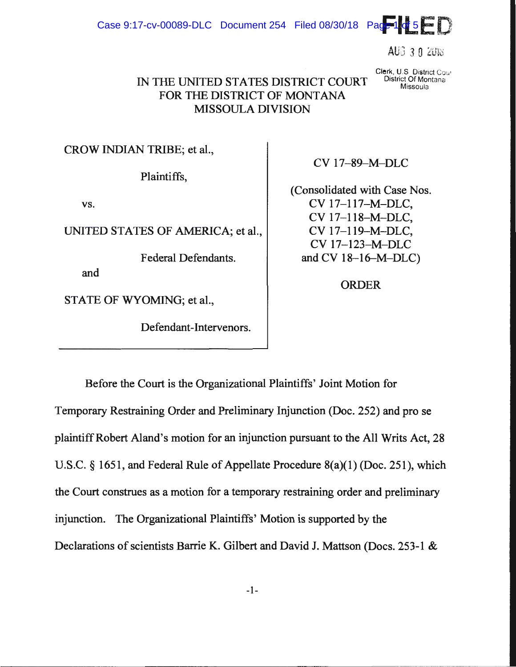Case 9:17-cv-00089-DLC Document 254 Filed 08/30/18 Page 14d 5

 $AUS = 3.0$  2018

## IN THE UNITED STATES DISTRICT COURT FOR THE DISTRICT OF MONTANA **MISSOULA DIVISION**

Clerk, U.S. District Cour District Of Montana Missoula

CROW INDIAN TRIBE; et al.,

Plaintiffs,

VS.

UNITED STATES OF AMERICA; et al.,

**Federal Defendants.** 

and

STATE OF WYOMING; et al.,

Defendant-Intervenors.

CV 17-89-M-DLC

(Consolidated with Case Nos.) CV 17-117-M-DLC, CV 17-118-M-DLC, CV 17-119-M-DLC, CV 17-123-M-DLC and CV  $18-16-M-DLC$ )

**ORDER** 

Before the Court is the Organizational Plaintiffs' Joint Motion for Temporary Restraining Order and Preliminary Injunction (Doc. 252) and pro se plaintiff Robert Aland's motion for an injunction pursuant to the All Writs Act, 28 U.S.C. § 1651, and Federal Rule of Appellate Procedure  $8(a)(1)$  (Doc. 251), which the Court construes as a motion for a temporary restraining order and preliminary injunction. The Organizational Plaintiffs' Motion is supported by the Declarations of scientists Barrie K. Gilbert and David J. Mattson (Docs. 253-1 &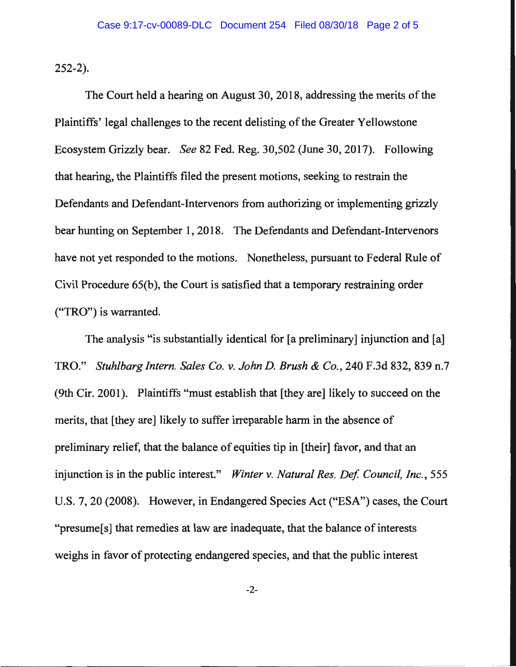252-2).

The Court held a hearing on August 30, 2018, addressing the merits of the Plaintiffs' legal challenges to the recent delisting of the Greater Yellowstone Ecosystem Grizzly bear. *See* 82 Fed. Reg. 30,502 (June 30, 2017). Following that hearing, the Plaintiffs filed the present motions, seeking to restrain the Defendants and Defendant-Intervenors from authorizing or implementing grizzly bear hunting on September 1, 2018. The Defendants and Defendant-lntervenors have not yet responded to the motions. Nonetheless, pursuant to Federal Rule of Civil Procedure 65(b), the Court is satisfied that a temporary restraining order ("TRO") is warranted.

The analysis "is substantially identical for [a preliminary] injunction and [a] TRO." *Stuhlbarg Intern. Sales Co. v. John D. Brush* & *Co.,* 240 F.3d 832, 839 n.7 (9th Cir. 2001). Plaintiffs "must establish that [they are] likely to succeed on the merits, that [they are] likely to suffer irreparable harm in the absence of preliminary relief, that the balance of equities tip in [their] favor, and that an injunction is in the public interest." *Winter v. Natural Res. Def. Council, Inc.*, 555 U.S. 7, 20 (2008). However, in Endangered Species Act ("ESA") cases, the Court "presume[s] that remedies at law are inadequate, that the balance of interests weighs in favor of protecting endangered species, and that the public interest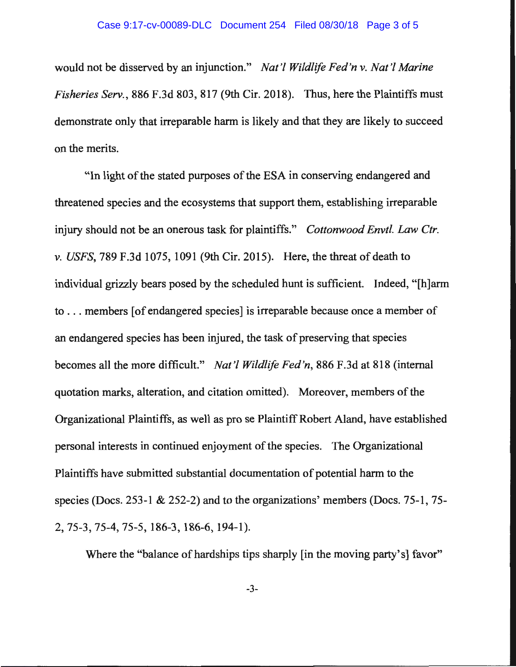## Case 9:17-cv-00089-DLC Document 254 Filed 08/30/18 Page 3 of 5

would not be disserved by an injunction." *Nat'/ Wildlife Fed'n v. Nat'/ Marine Fisheries Serv.,* 886 F.3d 803, 817 (9th Cir. 2018). Thus, here the Plaintiffs must demonstrate only that irreparable harm is likely and that they are likely to succeed on the merits.

"In light of the stated purposes of the ESA in conserving endangered and threatened species and the ecosystems that support them, establishing irreparable injury should not be an onerous task for plaintiffs." *Cottonwood Envtl. Law Ctr. v. USFS,* 789 F.3d 1075, 1091 (9th Cir. 2015). Here, the threat of death to individual grizzly bears posed by the scheduled hunt is sufficient. Indeed, "[h]arm to ... members [of endangered species] is irreparable because once a member of an endangered species has been injured, the task of preserving that species becomes all the more difficult." *Nat'/ Wildlife Fed'n,* 886 F.3d at 818 (internal quotation marks, alteration, and citation omitted). Moreover, members of the Organizational Plaintiffs, as well as pro se Plaintiff Robert Aland, have established personal interests in continued enjoyment of the species. The Organizational Plaintiffs have submitted substantial documentation of potential harm to the species (Docs. 253-1 & 252-2) and to the organizations' members (Docs. 75-1, 75- 2, 75-3, 75-4, 75-5, 186-3, 186-6, 194-1).

Where the "balance of hardships tips sharply [in the moving party's] favor"

-3-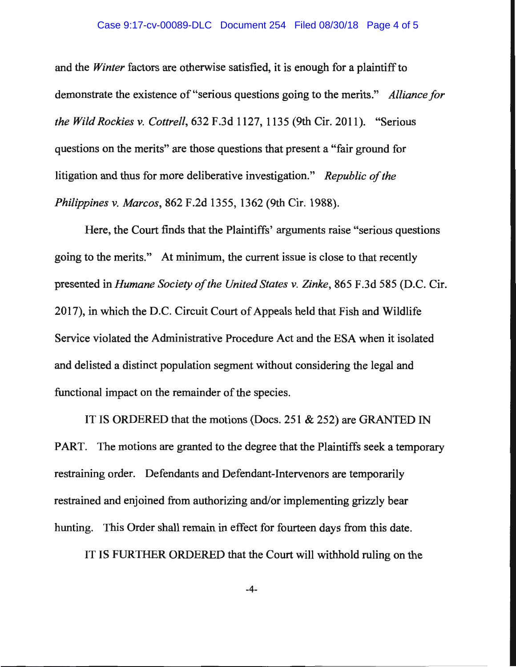## Case 9:17-cv-00089-DLC Document 254 Filed 08/30/18 Page 4 of 5

and the *Winter* factors are otherwise satisfied, it is enough for a plaintiff to demonstrate the existence of"serious questions going to the merits." *Alliance for the Wild Rockies v. Cottrell,* 632 F.3d 1127, 1135 (9th Cir. 2011). "Serious questions on the merits" are those questions that present a "fair ground for litigation and thus for more deliberative investigation." *Republic of the Philippines v. Marcos,* 862 F.2d 1355, 1362 (9th Cir. 1988).

Here, the Court finds that the Plaintiffs' arguments raise "serious questions going to the merits." At minimum, the current issue is close to that recently presented in *Humane Society of the United States v. Zinke,* 865 F.3d 585 (D.C. Cir. 2017), in which the D.C. Circuit Court of Appeals held that Fish and Wildlife Service violated the Administrative Procedure Act and the ESA when it isolated and delisted a distinct population segment without considering the legal and functional impact on the remainder of the species.

IT IS ORDERED that the motions (Docs. 251 & 252) are GRANTED IN PART. The motions are granted to the degree that the Plaintiffs seek a temporary restraining order. Defendants and Defendant-Intervenors are temporarily restrained and enjoined from authorizing and/or implementing grizzly bear hunting. This Order shall remain in effect for fourteen days from this date.

IT IS FURTHER ORDERED that the Court will withhold ruling on the

-4-